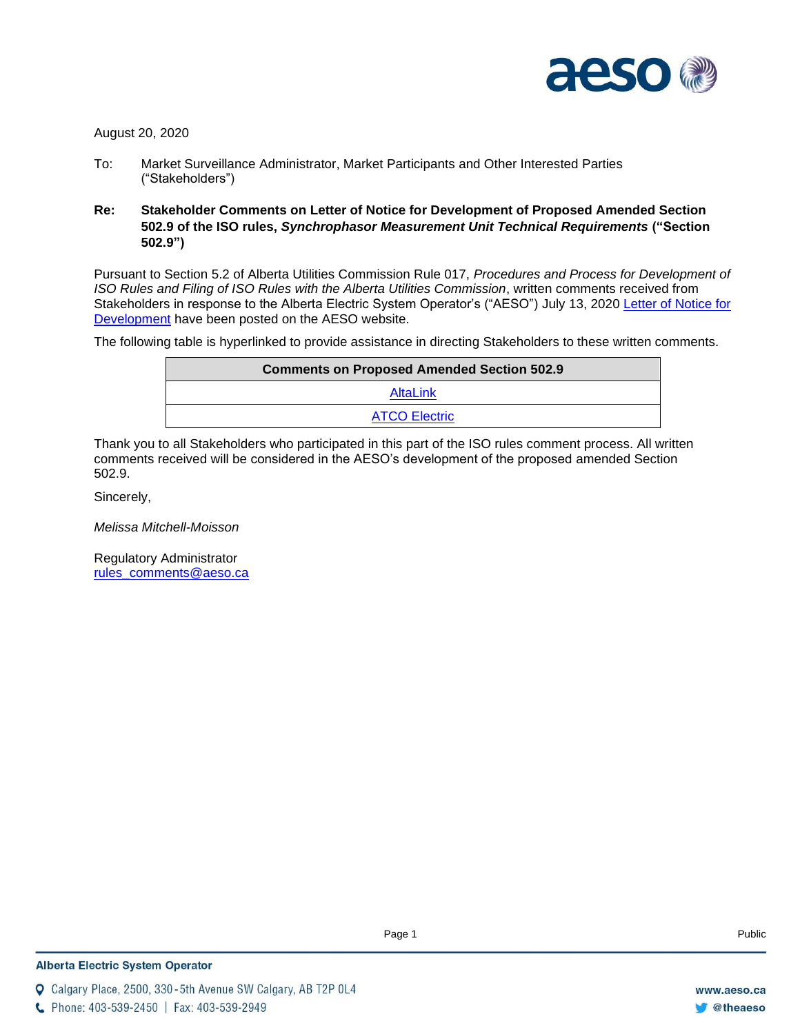

August 20, 2020

- To: Market Surveillance Administrator, Market Participants and Other Interested Parties ("Stakeholders")
- **Re: Stakeholder Comments on Letter of Notice for Development of Proposed Amended Section 502.9 of the ISO rules,** *Synchrophasor Measurement Unit Technical Requirements* **("Section 502.9")**

Pursuant to Section 5.2 of Alberta Utilities Commission Rule 017, *Procedures and Process for Development of ISO Rules and Filing of ISO Rules with the Alberta Utilities Commission*, written comments received from Stakeholders in response to the Alberta Electric System Operator's ("AESO") July 13, 2020 [Letter of Notice for](https://www.aeso.ca/assets/Uploads/Letter-of-Notice-for-Development-of-a-Proposed-Amended-Section-502.9.pdf)  [Development](https://www.aeso.ca/assets/Uploads/Letter-of-Notice-for-Development-of-a-Proposed-Amended-Section-502.9.pdf) have been posted on the AESO website.

The following table is hyperlinked to provide assistance in directing Stakeholders to these written comments.

| <b>Comments on Proposed Amended Section 502.9</b> |  |
|---------------------------------------------------|--|
| AltaLink                                          |  |
| <b>ATCO Electric</b>                              |  |

Thank you to all Stakeholders who participated in this part of the ISO rules comment process. All written comments received will be considered in the AESO's development of the proposed amended Section 502.9.

Sincerely,

*Melissa Mitchell-Moisson*

Regulatory Administrator [rules\\_comments@aeso.ca](mailto:rules_comments@aeso.ca)

**Q** Calgary Place, 2500, 330-5th Avenue SW Calgary, AB T2P 0L4

C Phone: 403-539-2450 | Fax: 403-539-2949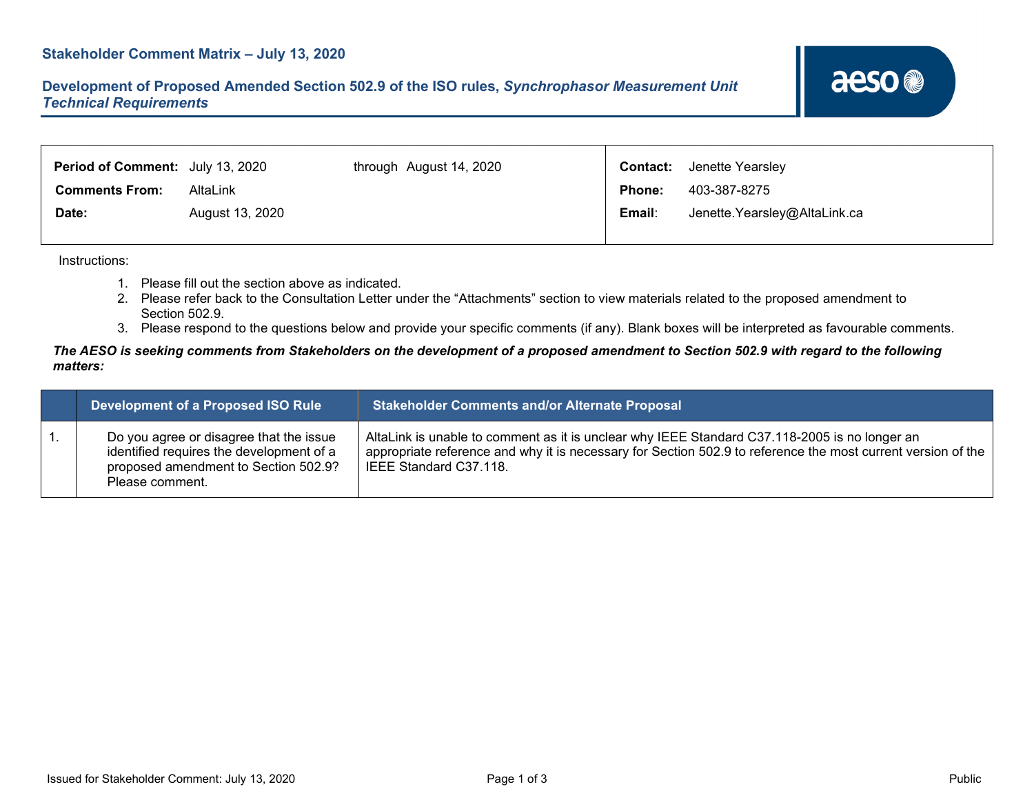<span id="page-1-0"></span>

| <b>Period of Comment:</b> July 13, 2020 |                 | through August 14, 2020 |               | <b>Contact:</b> Jenette Yearsley |
|-----------------------------------------|-----------------|-------------------------|---------------|----------------------------------|
| <b>Comments From:</b>                   | AltaLink        |                         | <b>Phone:</b> | 403-387-8275                     |
| Date:                                   | August 13, 2020 |                         | Email:        | Jenette.Yearsley@AltaLink.ca     |
|                                         |                 |                         |               |                                  |

Instructions:

- 1. Please fill out the section above as indicated.
- 2. Please refer back to the Consultation Letter under the "Attachments" section to view materials related to the proposed amendment to Section 502.9.
- 3. Please respond to the questions below and provide your specific comments (if any). Blank boxes will be interpreted as favourable comments.

#### The AESO is seeking comments from Stakeholders on the development of a proposed amendment to Section 502.9 with regard to the following *matters:*

| Development of a Proposed ISO Rule                                                                                                             | <b>Stakeholder Comments and/or Alternate Proposal</b>                                                                                                                                                                                   |
|------------------------------------------------------------------------------------------------------------------------------------------------|-----------------------------------------------------------------------------------------------------------------------------------------------------------------------------------------------------------------------------------------|
| Do you agree or disagree that the issue<br>identified requires the development of a<br>proposed amendment to Section 502.9?<br>Please comment. | AltaLink is unable to comment as it is unclear why IEEE Standard C37.118-2005 is no longer an<br>appropriate reference and why it is necessary for Section 502.9 to reference the most current version of the<br>IEEE Standard C37.118. |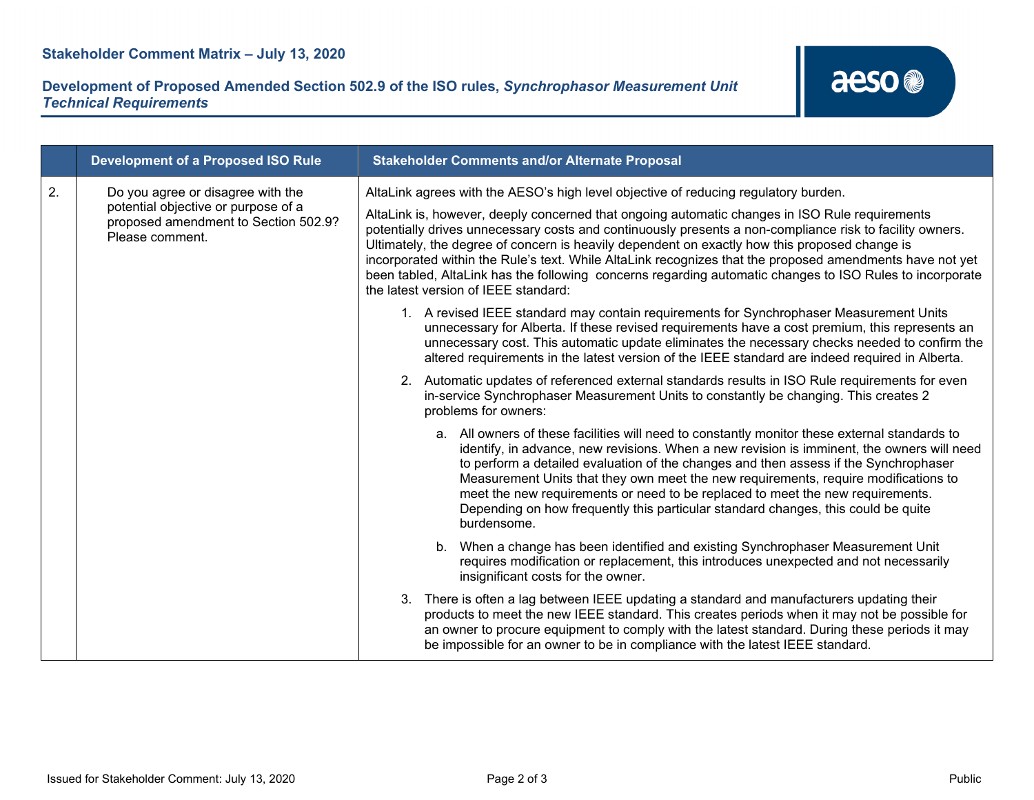|    | <b>Development of a Proposed ISO Rule</b>                                                                                           | <b>Stakeholder Comments and/or Alternate Proposal</b>                                                                                                                                                                                                                                                                                                                                                                                                                                                                                                                       |
|----|-------------------------------------------------------------------------------------------------------------------------------------|-----------------------------------------------------------------------------------------------------------------------------------------------------------------------------------------------------------------------------------------------------------------------------------------------------------------------------------------------------------------------------------------------------------------------------------------------------------------------------------------------------------------------------------------------------------------------------|
| 2. | Do you agree or disagree with the<br>potential objective or purpose of a<br>proposed amendment to Section 502.9?<br>Please comment. | AltaLink agrees with the AESO's high level objective of reducing regulatory burden.                                                                                                                                                                                                                                                                                                                                                                                                                                                                                         |
|    |                                                                                                                                     | AltaLink is, however, deeply concerned that ongoing automatic changes in ISO Rule requirements<br>potentially drives unnecessary costs and continuously presents a non-compliance risk to facility owners.<br>Ultimately, the degree of concern is heavily dependent on exactly how this proposed change is<br>incorporated within the Rule's text. While AltaLink recognizes that the proposed amendments have not yet<br>been tabled, AltaLink has the following concerns regarding automatic changes to ISO Rules to incorporate<br>the latest version of IEEE standard: |
|    |                                                                                                                                     | 1. A revised IEEE standard may contain requirements for Synchrophaser Measurement Units<br>unnecessary for Alberta. If these revised requirements have a cost premium, this represents an<br>unnecessary cost. This automatic update eliminates the necessary checks needed to confirm the<br>altered requirements in the latest version of the IEEE standard are indeed required in Alberta.                                                                                                                                                                               |
|    |                                                                                                                                     | 2. Automatic updates of referenced external standards results in ISO Rule requirements for even<br>in-service Synchrophaser Measurement Units to constantly be changing. This creates 2<br>problems for owners:                                                                                                                                                                                                                                                                                                                                                             |
|    |                                                                                                                                     | a. All owners of these facilities will need to constantly monitor these external standards to<br>identify, in advance, new revisions. When a new revision is imminent, the owners will need<br>to perform a detailed evaluation of the changes and then assess if the Synchrophaser<br>Measurement Units that they own meet the new requirements, require modifications to<br>meet the new requirements or need to be replaced to meet the new requirements.<br>Depending on how frequently this particular standard changes, this could be quite<br>burdensome.            |
|    |                                                                                                                                     | b. When a change has been identified and existing Synchrophaser Measurement Unit<br>requires modification or replacement, this introduces unexpected and not necessarily<br>insignificant costs for the owner.                                                                                                                                                                                                                                                                                                                                                              |
|    |                                                                                                                                     | 3. There is often a lag between IEEE updating a standard and manufacturers updating their<br>products to meet the new IEEE standard. This creates periods when it may not be possible for<br>an owner to procure equipment to comply with the latest standard. During these periods it may<br>be impossible for an owner to be in compliance with the latest IEEE standard.                                                                                                                                                                                                 |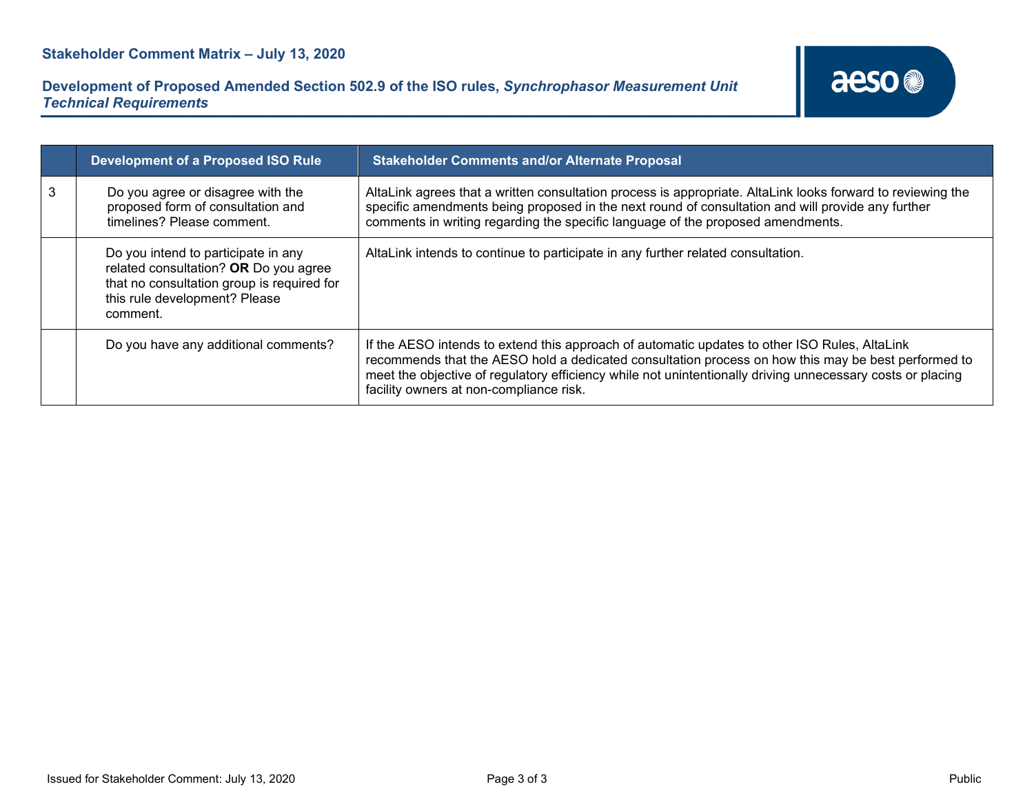

|   | <b>Development of a Proposed ISO Rule</b>                                                                                                                               | <b>Stakeholder Comments and/or Alternate Proposal</b>                                                                                                                                                                                                                                                                                                         |  |
|---|-------------------------------------------------------------------------------------------------------------------------------------------------------------------------|---------------------------------------------------------------------------------------------------------------------------------------------------------------------------------------------------------------------------------------------------------------------------------------------------------------------------------------------------------------|--|
| 3 | Do you agree or disagree with the<br>proposed form of consultation and<br>timelines? Please comment.                                                                    | AltaLink agrees that a written consultation process is appropriate. AltaLink looks forward to reviewing the<br>specific amendments being proposed in the next round of consultation and will provide any further<br>comments in writing regarding the specific language of the proposed amendments.                                                           |  |
|   | Do you intend to participate in any<br>related consultation? OR Do you agree<br>that no consultation group is required for<br>this rule development? Please<br>comment. | AltaLink intends to continue to participate in any further related consultation.                                                                                                                                                                                                                                                                              |  |
|   | Do you have any additional comments?                                                                                                                                    | If the AESO intends to extend this approach of automatic updates to other ISO Rules, AltaLink<br>recommends that the AESO hold a dedicated consultation process on how this may be best performed to<br>meet the objective of regulatory efficiency while not unintentionally driving unnecessary costs or placing<br>facility owners at non-compliance risk. |  |